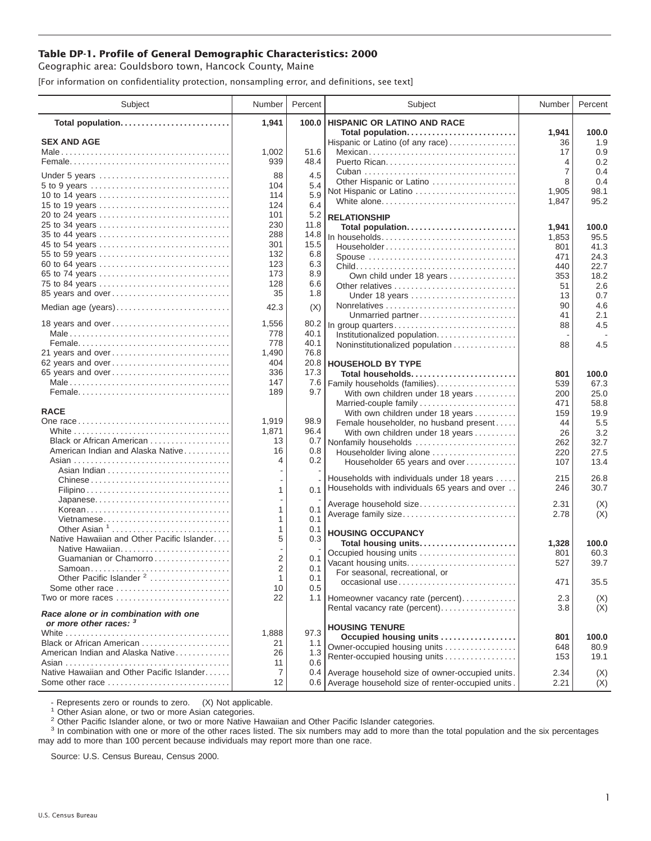## **Table DP-1. Profile of General Demographic Characteristics: 2000**

Geographic area: Gouldsboro town, Hancock County, Maine

[For information on confidentiality protection, nonsampling error, and definitions, see text]

| Subject                                                         | Number                  | Percent      | Subject                                              | Number         | Percent       |
|-----------------------------------------------------------------|-------------------------|--------------|------------------------------------------------------|----------------|---------------|
| Total population                                                | 1,941                   | 100.0        | <b>HISPANIC OR LATINO AND RACE</b>                   |                |               |
|                                                                 |                         |              | Total population                                     | 1,941          | 100.0         |
| <b>SEX AND AGE</b>                                              |                         | 51.6         | Hispanic or Latino (of any race)                     | 36             | 1.9           |
|                                                                 | 1,002<br>939            | 48.4         | Mexican<br>Puerto Rican                              | 17<br>4        | 0.9<br>0.2    |
|                                                                 |                         |              |                                                      | 7              | 0.4           |
| Under 5 years                                                   | 88                      | 4.5          | Other Hispanic or Latino                             | 8              | 0.4           |
| 5 to 9 years                                                    | 104                     | 5.4          | Not Hispanic or Latino                               | 1,905          | 98.1          |
| 10 to 14 years                                                  | 114                     | 5.9          | White alone                                          | 1,847          | 95.2          |
| 15 to 19 years<br>20 to 24 years                                | 124<br>101              | 6.4<br>5.2   |                                                      |                |               |
| 25 to 34 years                                                  | 230                     | 11.8         | <b>RELATIONSHIP</b>                                  |                |               |
| 35 to 44 years                                                  | 288                     | 14.8         | Total population<br>In households                    | 1,941<br>1,853 | 100.0<br>95.5 |
| 45 to 54 years                                                  | 301                     | 15.5         | Householder                                          | 801            | 41.3          |
| 55 to 59 years                                                  | 132                     | 6.8          | Spouse                                               | 471            | 24.3          |
| 60 to 64 years                                                  | 123                     | 6.3          |                                                      | 440            | 22.7          |
| 65 to 74 years                                                  | 173                     | 8.9          | Own child under 18 years                             | 353            | 18.2          |
| 75 to 84 years                                                  | 128                     | 6.6          | Other relatives                                      | 51             | 2.6           |
| 85 years and over                                               | 35                      | 1.8          | Under 18 years                                       | 13             | 0.7           |
| Median age (years)                                              | 42.3                    | (X)          |                                                      | 90             | 4.6           |
|                                                                 |                         |              | Unmarried partner                                    | 41             | 2.1           |
| 18 years and over                                               | 1,556                   | 80.2         | In group quarters                                    | 88             | 4.5           |
|                                                                 | 778<br>778              | 40.1<br>40.1 | Institutionalized population                         |                |               |
| 21 years and over                                               | 1,490                   | 76.8         | Noninstitutionalized population                      | 88             | 4.5           |
| 62 years and over                                               | 404                     | 20.8         | <b>HOUSEHOLD BY TYPE</b>                             |                |               |
| 65 years and over                                               | 336                     | 17.3         | Total households                                     | 801            | 100.0         |
|                                                                 | 147                     | 7.6          | Family households (families)                         | 539            | 67.3          |
|                                                                 | 189                     | 9.7          | With own children under 18 years                     | 200            | 25.0          |
|                                                                 |                         |              | Married-couple family                                | 471            | 58.8          |
| <b>RACE</b>                                                     |                         |              | With own children under 18 years                     | 159            | 19.9          |
|                                                                 | 1,919                   | 98.9         | Female householder, no husband present               | 44             | 5.5           |
|                                                                 | 1,871                   | 96.4         | With own children under 18 years                     | 26             | 3.2           |
| Black or African American                                       | 13                      | 0.7          | Nonfamily households                                 | 262            | 32.7          |
| American Indian and Alaska Native                               | 16<br>4                 | 0.8          | Householder living alone                             | 220            | 27.5          |
|                                                                 |                         | 0.2          | Householder 65 years and over                        | 107            | 13.4          |
|                                                                 |                         |              | Households with individuals under 18 years           | 215            | 26.8          |
|                                                                 | 1                       | 0.1          | Households with individuals 65 years and over        | 246            | 30.7          |
| Japanese                                                        |                         |              |                                                      |                |               |
| Korean                                                          | 1                       | 0.1          | Average household size<br>Average family size        | 2.31           | (X)<br>(X)    |
| Vietnamese                                                      | 1                       | 0.1          |                                                      | 2.78           |               |
| Other Asian <sup>1</sup>                                        | 1                       | 0.1          | <b>HOUSING OCCUPANCY</b>                             |                |               |
| Native Hawaiian and Other Pacific Islander                      | 5                       | 0.3          | Total housing units                                  | 1,328          | 100.0         |
| Native Hawaiian                                                 |                         |              | Occupied housing units                               | 801            | 60.3          |
| Guamanian or Chamorro                                           | $\overline{2}$          | 0.1          | Vacant housing units                                 | 527            | 39.7          |
| Samoan<br>Other Pacific Islander <sup>2</sup>                   | $\overline{\mathbf{c}}$ | 0.1          | For seasonal, recreational, or                       |                |               |
| Some other race                                                 | $\mathbf{1}$<br>10      | 0.1<br>0.5   | occasional use                                       | 471            | 35.5          |
| Two or more races                                               | 22                      |              | 1.1   Homeowner vacancy rate (percent)               | 2.3            | (X)           |
|                                                                 |                         |              | Rental vacancy rate (percent)                        | 3.8            | (X)           |
| Race alone or in combination with one<br>or more other races: 3 |                         |              |                                                      |                |               |
|                                                                 | 1,888                   | 97.3         | <b>HOUSING TENURE</b>                                |                |               |
| Black or African American                                       | 21                      | 1.1          | Occupied housing units                               | 801            | 100.0         |
| American Indian and Alaska Native                               | 26                      | 1.3          | Owner-occupied housing units                         | 648            | 80.9          |
|                                                                 | 11                      | 0.6          | Renter-occupied housing units                        | 153            | 19.1          |
| Native Hawaiian and Other Pacific Islander                      | 7                       | 0.4          | Average household size of owner-occupied units.      | 2.34           | (X)           |
| Some other race                                                 | 12                      |              | 0.6 Average household size of renter-occupied units. | 2.21           | (X)           |

- Represents zero or rounds to zero. (X) Not applicable.<br><sup>1</sup> Other Asian alone, or two or more Asian categories.

<sup>2</sup> Other Pacific Islander alone, or two or more Native Hawaiian and Other Pacific Islander categories.<br><sup>3</sup> In combination with one or more of the other races listed. The six numbers may add to more than the total populati may add to more than 100 percent because individuals may report more than one race.

Source: U.S. Census Bureau, Census 2000.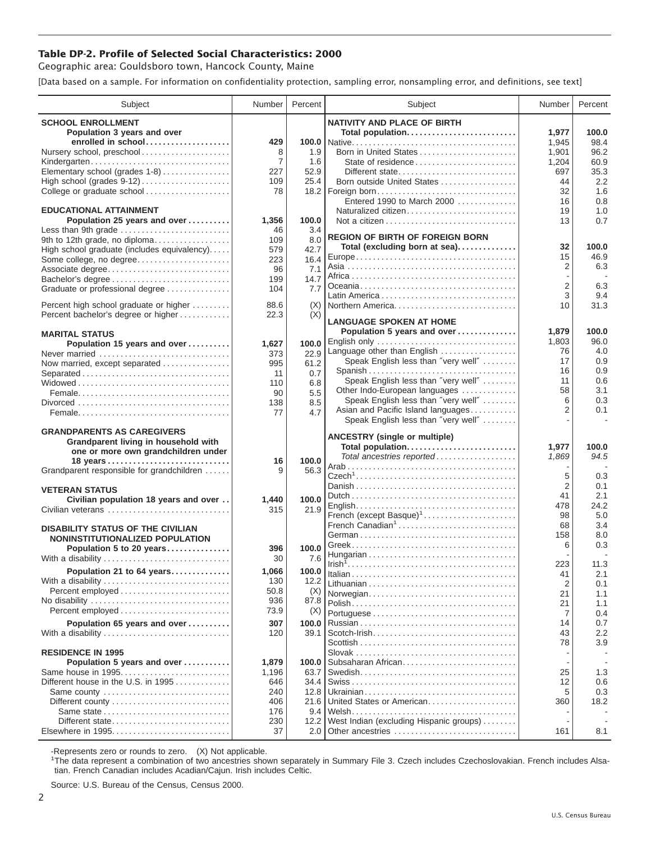## **Table DP-2. Profile of Selected Social Characteristics: 2000**

Geographic area: Gouldsboro town, Hancock County, Maine

[Data based on a sample. For information on confidentiality protection, sampling error, nonsampling error, and definitions, see text]

| Subject                                                                    | Number         | Percent       | Subject                                                                   | Number              | Percent     |
|----------------------------------------------------------------------------|----------------|---------------|---------------------------------------------------------------------------|---------------------|-------------|
| <b>SCHOOL ENROLLMENT</b>                                                   |                |               | <b>NATIVITY AND PLACE OF BIRTH</b>                                        |                     |             |
| Population 3 years and over                                                |                |               | Total population                                                          | 1,977               | 100.0       |
| enrolled in school                                                         | 429            |               |                                                                           | 1,945               | 98.4        |
| Nursery school, preschool                                                  | 8              | 1.9           | Born in United States                                                     | 1,901               | 96.2        |
| Kindergarten                                                               | $\overline{7}$ | 1.6           | State of residence                                                        | 1,204               | 60.9        |
| Elementary school (grades 1-8)                                             | 227            | 52.9          | Different state                                                           | 697                 | 35.3        |
| High school (grades 9-12)                                                  | 109            | 25.4          | Born outside United States                                                | 44                  | 2.2         |
| College or graduate school                                                 | 78             |               |                                                                           | 32                  | 1.6         |
|                                                                            |                |               | Entered 1990 to March 2000                                                | 16                  | 0.8         |
| <b>EDUCATIONAL ATTAINMENT</b>                                              |                |               | Naturalized citizen                                                       | 19                  | 1.0         |
| Population 25 years and over                                               | 1,356          | 100.0<br>3.4  |                                                                           | 13                  | 0.7         |
| Less than 9th grade<br>9th to 12th grade, no diploma                       | 46<br>109      | 8.0           | <b>REGION OF BIRTH OF FOREIGN BORN</b>                                    |                     |             |
| High school graduate (includes equivalency)                                | 579            | 42.7          | Total (excluding born at sea)                                             | 32                  | 100.0       |
| Some college, no degree                                                    | 223            | 16.4          |                                                                           | 15                  | 46.9        |
| Associate degree                                                           | 96             | 7.1           |                                                                           | $\overline{2}$      | 6.3         |
| Bachelor's degree                                                          | 199            | 14.7          |                                                                           |                     |             |
| Graduate or professional degree                                            | 104            | 7.7           |                                                                           | $\overline{2}$      | 6.3         |
|                                                                            |                |               |                                                                           | 3                   | 9.4         |
| Percent high school graduate or higher                                     | 88.6           | (X)           | Northern America                                                          | 10                  | 31.3        |
| Percent bachelor's degree or higher                                        | 22.3           | (X)           | <b>LANGUAGE SPOKEN AT HOME</b>                                            |                     |             |
| <b>MARITAL STATUS</b>                                                      |                |               | Population 5 years and over                                               | 1,879               | 100.0       |
| Population 15 years and over                                               | 1,627          | 100.0         | English only                                                              | 1,803               | 96.0        |
| Never married                                                              | 373            | 22.9          | Language other than English                                               | 76                  | 4.0         |
| Now married, except separated                                              | 995            | 61.2          | Speak English less than "very well"                                       | 17                  | 0.9         |
|                                                                            | 11             | 0.7           | Spanish                                                                   | 16                  | 0.9         |
|                                                                            | 110            | 6.8           | Speak English less than "very well"                                       | 11                  | 0.6         |
|                                                                            | 90             | 5.5           | Other Indo-European languages                                             | 58                  | 3.1         |
|                                                                            | 138            | 8.5           | Speak English less than "very well"                                       | 6<br>$\overline{2}$ | 0.3         |
|                                                                            | 77             | 4.7           | Asian and Pacific Island languages<br>Speak English less than "very well" |                     | 0.1         |
|                                                                            |                |               |                                                                           |                     |             |
| <b>GRANDPARENTS AS CAREGIVERS</b><br>Grandparent living in household with  |                |               | <b>ANCESTRY</b> (single or multiple)                                      |                     |             |
| one or more own grandchildren under                                        |                |               | Total population                                                          | 1,977               | 100.0       |
|                                                                            | 16             | 100.0         | Total ancestries reported                                                 | 1,869               | 94.5        |
| Grandparent responsible for grandchildren                                  | 9              | 56.3          |                                                                           |                     |             |
|                                                                            |                |               |                                                                           | 5                   | 0.3         |
| <b>VETERAN STATUS</b>                                                      |                |               |                                                                           | $\overline{2}$      | 0.1         |
| Civilian population 18 years and over                                      | 1,440          | 100.0         |                                                                           | 41<br>478           | 2.1<br>24.2 |
| Civilian veterans                                                          | 315            | 21.9          | French (except Basque) <sup>1</sup>                                       | 98                  | 5.0         |
|                                                                            |                |               | French Canadian <sup>1</sup>                                              | 68                  | 3.4         |
| <b>DISABILITY STATUS OF THE CIVILIAN</b>                                   |                |               |                                                                           | 158                 | 8.0         |
| NONINSTITUTIONALIZED POPULATION                                            |                |               |                                                                           | 6                   | 0.3         |
| Population 5 to 20 years<br>With a disability                              | 396<br>30      | 100.0<br>7.6  |                                                                           |                     |             |
|                                                                            |                |               |                                                                           | 223                 | 11.3        |
| Population 21 to 64 years                                                  | 1,066          | 100.0         |                                                                           | 41                  | 2.1         |
| With a disability                                                          | 130<br>50.8    | 12.2          |                                                                           | 2                   | 0.1         |
| No disability                                                              | 936            | (X)<br>87.8   | Norwegian                                                                 | 21                  | 1.1         |
| Percent employed                                                           | 73.9           | (X)           |                                                                           | 21                  | 1.1         |
|                                                                            |                |               |                                                                           | 7                   | 0.4         |
| Population 65 years and over                                               | 307<br>120     | 100.0<br>39.1 | Scotch-Irish                                                              | 14<br>43            | 0.7<br>2.2  |
| With a disability                                                          |                |               |                                                                           | 78                  | 3.9         |
| <b>RESIDENCE IN 1995</b>                                                   |                |               |                                                                           |                     |             |
| Population 5 years and over                                                | 1,879          | 100.0         | Subsaharan African                                                        |                     |             |
| Same house in 1995                                                         | 1,196          | 63.7          |                                                                           | 25                  | 1.3         |
| Different house in the U.S. in 1995                                        | 646            | 34.4          |                                                                           | 12                  | 0.6         |
| Same county                                                                | 240            | 12.8          |                                                                           | 5                   | 0.3         |
| Different county $\ldots \ldots \ldots \ldots \ldots \ldots \ldots \ldots$ | 406            | 21.6          | United States or American                                                 | 360                 | 18.2        |
| Same state                                                                 | 176            | 9.4           |                                                                           |                     |             |
| Different state                                                            | 230            | 12.2          | West Indian (excluding Hispanic groups)                                   |                     |             |
| Elsewhere in 1995                                                          | 37             | 2.0           | Other ancestries                                                          | 161                 | 8.1         |

-Represents zero or rounds to zero. (X) Not applicable. 1 The data represent a combination of two ancestries shown separately in Summary File 3. Czech includes Czechoslovakian. French includes Alsatian. French Canadian includes Acadian/Cajun. Irish includes Celtic.

Source: U.S. Bureau of the Census, Census 2000.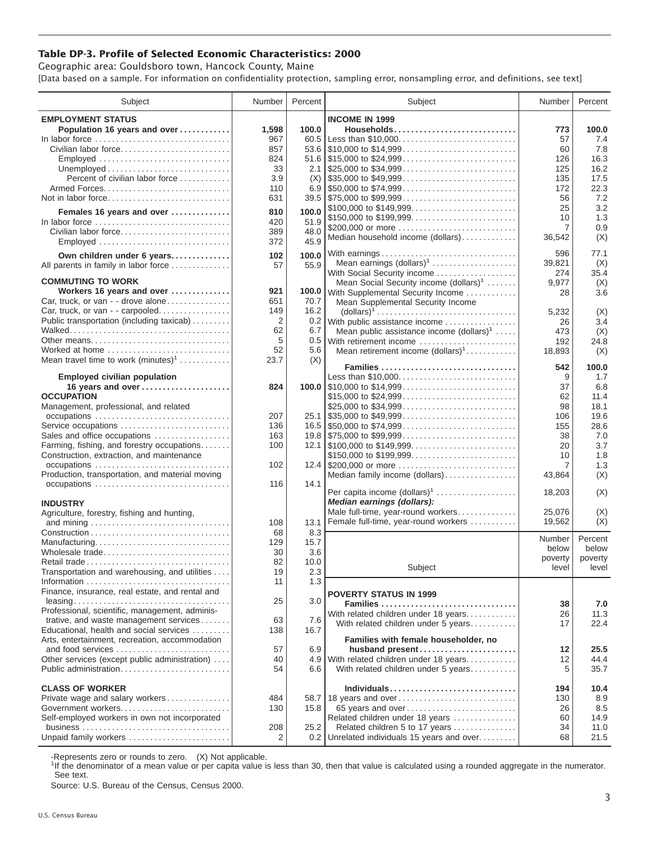## **Table DP-3. Profile of Selected Economic Characteristics: 2000**

Geographic area: Gouldsboro town, Hancock County, Maine [Data based on a sample. For information on confidentiality protection, sampling error, nonsampling error, and definitions, see text]

| Subject                                                                                  | Number         | Percent | Subject                                                                                | Number         | Percent |
|------------------------------------------------------------------------------------------|----------------|---------|----------------------------------------------------------------------------------------|----------------|---------|
| <b>EMPLOYMENT STATUS</b>                                                                 |                |         | <b>INCOME IN 1999</b>                                                                  |                |         |
| Population 16 years and over                                                             | 1,598          | 100.0   | Households                                                                             | 773            | 100.0   |
|                                                                                          | 967            |         | 60.5 Less than \$10,000                                                                | 57             | 7.4     |
| Civilian labor force                                                                     | 857            |         |                                                                                        | 60             | 7.8     |
| Employed                                                                                 | 824            |         |                                                                                        | 126            | 16.3    |
|                                                                                          | 33             |         | 2.1 $\frac{1}{25,000}$ to \$34,999                                                     | 125            | 16.2    |
| Percent of civilian labor force                                                          | 3.9            | (X)     |                                                                                        | 135            | 17.5    |
|                                                                                          | 110            |         |                                                                                        | 172            | 22.3    |
| Not in labor force                                                                       | 631            |         |                                                                                        | 56             | 7.2     |
|                                                                                          |                |         | \$100,000 to \$149,999                                                                 | 25             | 3.2     |
| Females 16 years and over                                                                | 810            | 100.0   | \$150,000 to \$199,999                                                                 | 10             | 1.3     |
| In labor force $\dots\dots\dots\dots\dots\dots\dots\dots\dots\dots\dots\dots$            | 420            | 51.9    | \$200,000 or more                                                                      | $\overline{7}$ | 0.9     |
| Civilian labor force                                                                     | 389            | 48.0    | Median household income (dollars)                                                      | 36,542         | (X)     |
| Employed                                                                                 | 372            | 45.9    |                                                                                        |                |         |
| Own children under 6 years                                                               | 102            | 100.0   | With earnings                                                                          | 596            | 77.1    |
| All parents in family in labor force                                                     | 57             | 55.9    | Mean earnings $(dollars)1$                                                             | 39,821         | (X)     |
|                                                                                          |                |         | With Social Security income                                                            | 274            | 35.4    |
| <b>COMMUTING TO WORK</b>                                                                 |                |         | Mean Social Security income $(dollars)^1$                                              | 9,977          | (X)     |
| Workers 16 years and over                                                                | 921            |         | 100.0 With Supplemental Security Income                                                | 28             | 3.6     |
| Car, truck, or van - - drove alone                                                       | 651            | 70.7    | Mean Supplemental Security Income                                                      |                |         |
| Car, truck, or van - - carpooled                                                         | 149            | 16.2    | $\text{(dollars)}^1 \dots \dots \dots \dots \dots \dots \dots \dots \dots \dots \dots$ | 5,232          | (X)     |
| Public transportation (including taxicab)                                                | $\overline{2}$ |         | 0.2 With public assistance income                                                      | 26             | 3.4     |
|                                                                                          | 62             | 6.7     | Mean public assistance income $(dollars)1 \ldots$ .                                    | 473            | (X)     |
| Other means                                                                              | 5              |         | 0.5 With retirement income                                                             | 192            | 24.8    |
| Worked at home                                                                           | 52             | 5.6     | Mean retirement income $(dollars)1$                                                    | 18,893         | (X)     |
| Mean travel time to work $(minutes)^1$                                                   | 23.7           | (X)     | Families                                                                               | 542            | 100.0   |
| <b>Employed civilian population</b>                                                      |                |         | Less than \$10,000                                                                     | 9              | 1.7     |
| 16 years and over                                                                        | 824            |         |                                                                                        | 37             | 6.8     |
| <b>OCCUPATION</b>                                                                        |                |         | \$15,000 to \$24,999                                                                   | 62             | 11.4    |
| Management, professional, and related                                                    |                |         | \$25,000 to \$34,999                                                                   | 98             | 18.1    |
|                                                                                          | 207            |         |                                                                                        | 106            | 19.6    |
| Service occupations                                                                      | 136            |         |                                                                                        | 155            | 28.6    |
| Sales and office occupations                                                             | 163            |         |                                                                                        | 38             | 7.0     |
| Farming, fishing, and forestry occupations                                               | 100            |         |                                                                                        | 20             | 3.7     |
| Construction, extraction, and maintenance                                                |                |         | \$150,000 to \$199,999                                                                 | 10             | 1.8     |
| occupations                                                                              | 102            |         |                                                                                        | 7              | 1.3     |
| Production, transportation, and material moving                                          |                |         | Median family income (dollars)                                                         | 43,864         | (X)     |
| occupations                                                                              | 116            | 14.1    |                                                                                        |                |         |
|                                                                                          |                |         | Per capita income $(dollars)1$                                                         | 18,203         | (X)     |
| <b>INDUSTRY</b>                                                                          |                |         | Median earnings (dollars):                                                             |                |         |
| Agriculture, forestry, fishing and hunting,                                              |                |         | Male full-time, year-round workers                                                     | 25.076         | (X)     |
|                                                                                          | 108            | 13.1    | Female full-time, year-round workers                                                   | 19.562         | (X)     |
|                                                                                          | 68             | 8.3     |                                                                                        | Number         | Percent |
| Manufacturing                                                                            | 129            | 15.7    |                                                                                        | below          | below   |
| Wholesale trade                                                                          | 30             | 3.6     |                                                                                        | poverty        | poverty |
| Retail trade                                                                             | 82             | 10.0    | Subject                                                                                | level          | level   |
| Transportation and warehousing, and utilities                                            | 19             | 2.3     |                                                                                        |                |         |
|                                                                                          | 11             | 1.3     |                                                                                        |                |         |
| Finance, insurance, real estate, and rental and                                          |                |         | <b>POVERTY STATUS IN 1999</b>                                                          |                |         |
|                                                                                          | 25             | 3.0     | Families                                                                               | 38             | 7.0     |
| Professional, scientific, management, adminis-<br>trative, and waste management services | 63             | 7.6     | With related children under 18 years                                                   | 26             | 11.3    |
| Educational, health and social services                                                  | 138            | 16.7    | With related children under 5 years                                                    | 17             | 22.4    |
| Arts, entertainment, recreation, accommodation                                           |                |         | Families with female householder, no                                                   |                |         |
| and food services                                                                        | 57             | 6.9     | husband present                                                                        | 12             | 25.5    |
| Other services (except public administration)                                            | 40             |         | 4.9 With related children under 18 years                                               | 12             | 44.4    |
| Public administration                                                                    | 54             | 6.6     | With related children under 5 years                                                    | 5              | 35.7    |
|                                                                                          |                |         |                                                                                        |                |         |
| <b>CLASS OF WORKER</b>                                                                   |                |         | Individuals                                                                            | 194            | 10.4    |
| Private wage and salary workers                                                          | 484            |         | 58.7   18 years and over                                                               | 130            | 8.9     |
| Government workers                                                                       | 130            | 15.8    | 65 years and over                                                                      | 26             | 8.5     |
| Self-employed workers in own not incorporated                                            |                |         | Related children under 18 years                                                        | 60             | 14.9    |
|                                                                                          | 208            | 25.2    | Related children 5 to 17 years                                                         | 34             | 11.0    |
| Unpaid family workers                                                                    | 2              |         | 0.2 Unrelated individuals 15 years and over                                            | 68             | 21.5    |

-Represents zero or rounds to zero. (X) Not applicable.

<sup>1</sup>If the denominator of a mean value or per capita value is less than 30, then that value is calculated using a rounded aggregate in the numerator. See text.

Source: U.S. Bureau of the Census, Census 2000.